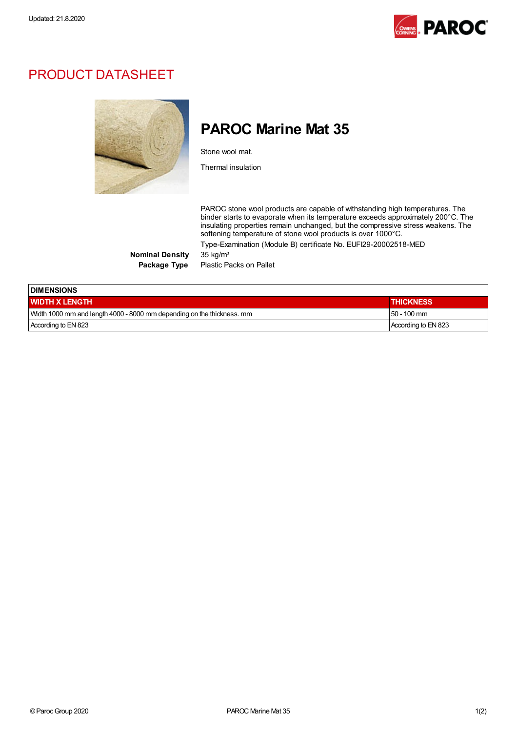

## PRODUCT DATASHEET



## PAROC Marine Mat 35

Stone wool mat.

Thermal insulation

PAROC stone wool products are capable of withstanding high temperatures. The binder starts to evaporate when its temperature exceeds approximately 200°C. The insulating properties remain unchanged, but the compressive stress weakens. The softening temperature of stone wool products is over 1000°C.

Type-Examination (Module B) certificate No. EUFI29-20002518-MED

Nominal Density 35 kg/m<sup>3</sup>

Package Type Plastic Packs on Pallet

| <b>IDIMENSIONS</b>                                                     |                     |  |  |  |
|------------------------------------------------------------------------|---------------------|--|--|--|
| <b>WIDTH X LENGTH</b>                                                  | <b>THICKNESS</b>    |  |  |  |
| Width 1000 mm and length 4000 - 8000 mm depending on the thickness. mm | $150 - 100$ mm      |  |  |  |
| According to EN 823                                                    | According to EN 823 |  |  |  |